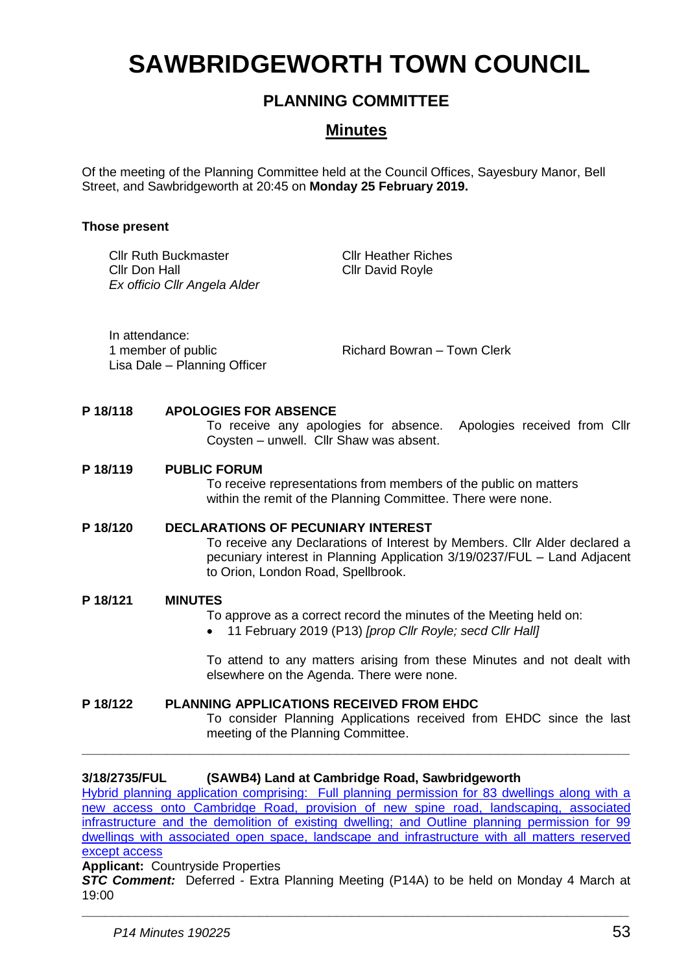# **SAWBRIDGEWORTH TOWN COUNCIL**

# **PLANNING COMMITTEE**

# **Minutes**

Of the meeting of the Planning Committee held at the Council Offices, Sayesbury Manor, Bell Street, and Sawbridgeworth at 20:45 on **Monday 25 February 2019.**

## **Those present**

Cllr Ruth Buckmaster Cllr Don Hall *Ex officio Cllr Angela Alder*

Cllr Heather Riches Cllr David Royle

In attendance: Lisa Dale – Planning Officer

1 member of public **Richard Bowran – Town Clerk** 

### **P 18/118 APOLOGIES FOR ABSENCE**

To receive any apologies for absence. Apologies received from Cllr Coysten – unwell. Cllr Shaw was absent.

### **P 18/119 PUBLIC FORUM**

To receive representations from members of the public on matters within the remit of the Planning Committee. There were none.

### **P 18/120 DECLARATIONS OF PECUNIARY INTEREST**

To receive any Declarations of Interest by Members. Cllr Alder declared a pecuniary interest in Planning Application 3/19/0237/FUL – Land Adjacent to Orion, London Road, Spellbrook.

### **P 18/121 MINUTES**

To approve as a correct record the minutes of the Meeting held on:

11 February 2019 (P13) *[prop Cllr Royle; secd Cllr Hall]*

To attend to any matters arising from these Minutes and not dealt with elsewhere on the Agenda. There were none.

# **P 18/122 PLANNING APPLICATIONS RECEIVED FROM EHDC**

To consider Planning Applications received from EHDC since the last meeting of the Planning Committee.

### **3/18/2735/FUL (SAWB4) Land at Cambridge Road, Sawbridgeworth**

[Hybrid planning application comprising: Full planning permission for 83 dwellings along with a](https://publicaccess.eastherts.gov.uk/online-applications/applicationDetails.do?activeTab=documents&keyVal=PJQHW9GLH9700)  [new access onto Cambridge Road, provision of new spine](https://publicaccess.eastherts.gov.uk/online-applications/applicationDetails.do?activeTab=documents&keyVal=PJQHW9GLH9700) road, landscaping, associated [infrastructure and the demolition of existing dwelling; and Outline planning permission for 99](https://publicaccess.eastherts.gov.uk/online-applications/applicationDetails.do?activeTab=documents&keyVal=PJQHW9GLH9700)  [dwellings with associated open space, landscape and infrastructure with all matters reserved](https://publicaccess.eastherts.gov.uk/online-applications/applicationDetails.do?activeTab=documents&keyVal=PJQHW9GLH9700)  [except access](https://publicaccess.eastherts.gov.uk/online-applications/applicationDetails.do?activeTab=documents&keyVal=PJQHW9GLH9700)

**\_\_\_\_\_\_\_\_\_\_\_\_\_\_\_\_\_\_\_\_\_\_\_\_\_\_\_\_\_\_\_\_\_\_\_\_\_\_\_\_\_\_\_\_\_\_\_\_\_\_\_\_\_\_\_\_\_\_\_\_\_\_\_\_\_\_\_\_\_\_\_**

#### **Applicant:** Countryside Properties

*STC Comment:* Deferred - Extra Planning Meeting (P14A) to be held on Monday 4 March at 19:00

**\_\_\_\_\_\_\_\_\_\_\_\_\_\_\_\_\_\_\_\_\_\_\_\_\_\_\_\_\_\_\_\_\_\_\_\_\_\_\_\_\_\_\_\_\_\_\_\_\_\_\_\_\_\_\_\_\_\_\_\_\_\_\_\_\_\_\_\_\_\_\_**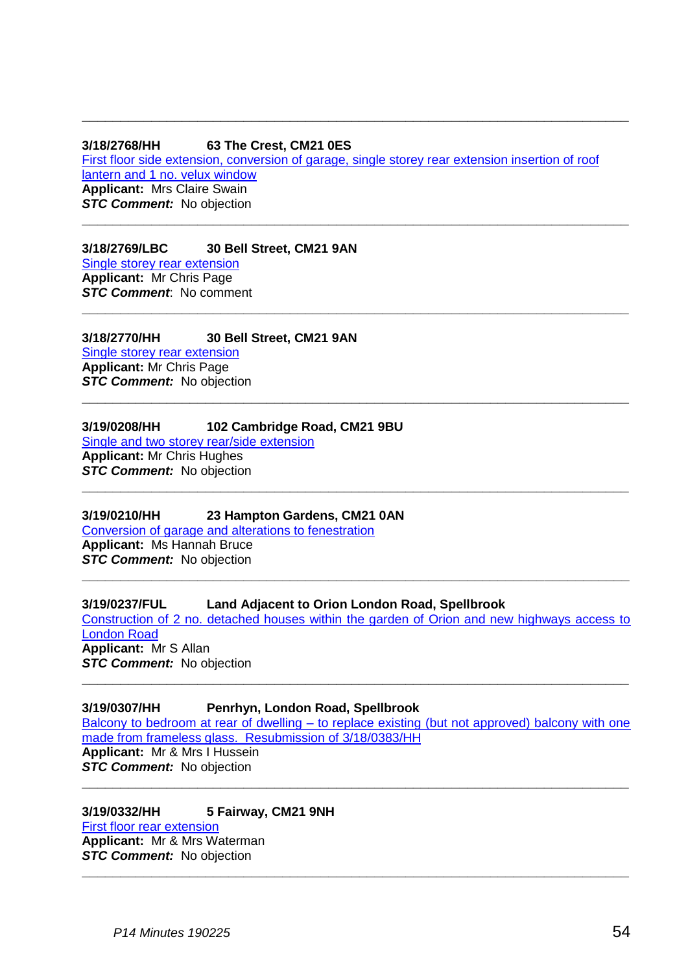#### **3/18/2768/HH 63 The Crest, CM21 0ES** [First floor side extension, conversion of garage, single storey rear extension insertion of roof](https://publicaccess.eastherts.gov.uk/online-applications/applicationDetails.do?activeTab=documents&keyVal=PJZT1WGL05I00)  [lantern and 1 no. velux window](https://publicaccess.eastherts.gov.uk/online-applications/applicationDetails.do?activeTab=documents&keyVal=PJZT1WGL05I00) **Applicant:** Mrs Claire Swain **STC Comment:** No objection **\_\_\_\_\_\_\_\_\_\_\_\_\_\_\_\_\_\_\_\_\_\_\_\_\_\_\_\_\_\_\_\_\_\_\_\_\_\_\_\_\_\_\_\_\_\_\_\_\_\_\_\_\_\_\_\_\_\_\_\_\_\_\_\_\_\_\_\_\_\_\_**

**\_\_\_\_\_\_\_\_\_\_\_\_\_\_\_\_\_\_\_\_\_\_\_\_\_\_\_\_\_\_\_\_\_\_\_\_\_\_\_\_\_\_\_\_\_\_\_\_\_\_\_\_\_\_\_\_\_\_\_\_\_\_\_\_\_\_\_\_\_\_\_**

**\_\_\_\_\_\_\_\_\_\_\_\_\_\_\_\_\_\_\_\_\_\_\_\_\_\_\_\_\_\_\_\_\_\_\_\_\_\_\_\_\_\_\_\_\_\_\_\_\_\_\_\_\_\_\_\_\_\_\_\_\_\_\_\_\_\_\_\_\_\_\_**

**\_\_\_\_\_\_\_\_\_\_\_\_\_\_\_\_\_\_\_\_\_\_\_\_\_\_\_\_\_\_\_\_\_\_\_\_\_\_\_\_\_\_\_\_\_\_\_\_\_\_\_\_\_\_\_\_\_\_\_\_\_\_\_\_\_\_\_\_\_\_\_**

**\_\_\_\_\_\_\_\_\_\_\_\_\_\_\_\_\_\_\_\_\_\_\_\_\_\_\_\_\_\_\_\_\_\_\_\_\_\_\_\_\_\_\_\_\_\_\_\_\_\_\_\_\_\_\_\_\_\_\_\_\_\_\_\_\_\_\_\_\_\_\_**

**3/18/2769/LBC 30 Bell Street, CM21 9AN** [Single storey rear extension](https://publicaccess.eastherts.gov.uk/online-applications/applicationDetails.do?activeTab=documents&keyVal=PJZTGZGL05I00) **Applicant:** Mr Chris Page *STC Comment*: No comment

**3/18/2770/HH 30 Bell Street, CM21 9AN** [Single storey rear extension](https://publicaccess.eastherts.gov.uk/online-applications/applicationDetails.do?activeTab=documents&keyVal=PJZTOZGL05I00) **Applicant:** Mr Chris Page *STC Comment:* No objection

#### **3/19/0208/HH 102 Cambridge Road, CM21 9BU**

[Single and two storey rear/side extension](https://publicaccess.eastherts.gov.uk/online-applications/applicationDetails.do?activeTab=documents&keyVal=PMENVRGL00X00) **Applicant:** Mr Chris Hughes **STC Comment:** No objection

### **3/19/0210/HH 23 Hampton Gardens, CM21 0AN**

[Conversion of garage and alterations to fenestration](https://publicaccess.eastherts.gov.uk/online-applications/applicationDetails.do?activeTab=documents&keyVal=PMESJ4GLHTU00) **Applicant:** Ms Hannah Bruce **STC Comment:** No objection **\_\_\_\_\_\_\_\_\_\_\_\_\_\_\_\_\_\_\_\_\_\_\_\_\_\_\_\_\_\_\_\_\_\_\_\_\_\_\_\_\_\_\_\_\_\_\_\_\_\_\_\_\_\_\_\_\_\_\_\_\_\_\_\_\_\_\_\_\_\_\_**

### **3/19/0237/FUL Land Adjacent to Orion London Road, Spellbrook**

[Construction of 2 no. detached houses within the garden of Orion and new highways access to](https://publicaccess.eastherts.gov.uk/online-applications/applicationDetails.do?activeTab=documents&keyVal=PMHVOBGLHVK00)  [London Road](https://publicaccess.eastherts.gov.uk/online-applications/applicationDetails.do?activeTab=documents&keyVal=PMHVOBGLHVK00) **Applicant:** Mr S Allan *STC Comment:* No objection

**\_\_\_\_\_\_\_\_\_\_\_\_\_\_\_\_\_\_\_\_\_\_\_\_\_\_\_\_\_\_\_\_\_\_\_\_\_\_\_\_\_\_\_\_\_\_\_\_\_\_\_\_\_\_\_\_\_\_\_\_\_\_\_\_\_\_\_\_\_\_\_**

### **3/19/0307/HH Penrhyn, London Road, Spellbrook**

Balcony to bedroom at rear of dwelling – [to replace existing \(but not approved\) balcony with one](https://publicaccess.eastherts.gov.uk/online-applications/applicationDetails.do?activeTab=documents&keyVal=PMVBCAGL00X00)  [made from frameless glass. Resubmission of 3/18/0383/HH](https://publicaccess.eastherts.gov.uk/online-applications/applicationDetails.do?activeTab=documents&keyVal=PMVBCAGL00X00) **Applicant:** Mr & Mrs I Hussein

**STC Comment:** No objection **\_\_\_\_\_\_\_\_\_\_\_\_\_\_\_\_\_\_\_\_\_\_\_\_\_\_\_\_\_\_\_\_\_\_\_\_\_\_\_\_\_\_\_\_\_\_\_\_\_\_\_\_\_\_\_\_\_\_\_\_\_\_\_\_\_\_\_\_\_\_\_**

**3/19/0332/HH 5 Fairway, CM21 9NH** [First floor rear extension](https://publicaccess.eastherts.gov.uk/online-applications/applicationDetails.do?activeTab=documents&keyVal=PMYUS6GLI1R00) **Applicant:** Mr & Mrs Waterman **STC Comment:** No objection **\_\_\_\_\_\_\_\_\_\_\_\_\_\_\_\_\_\_\_\_\_\_\_\_\_\_\_\_\_\_\_\_\_\_\_\_\_\_\_\_\_\_\_\_\_\_\_\_\_\_\_\_\_\_\_\_\_\_\_\_\_\_\_\_\_\_\_\_\_\_\_**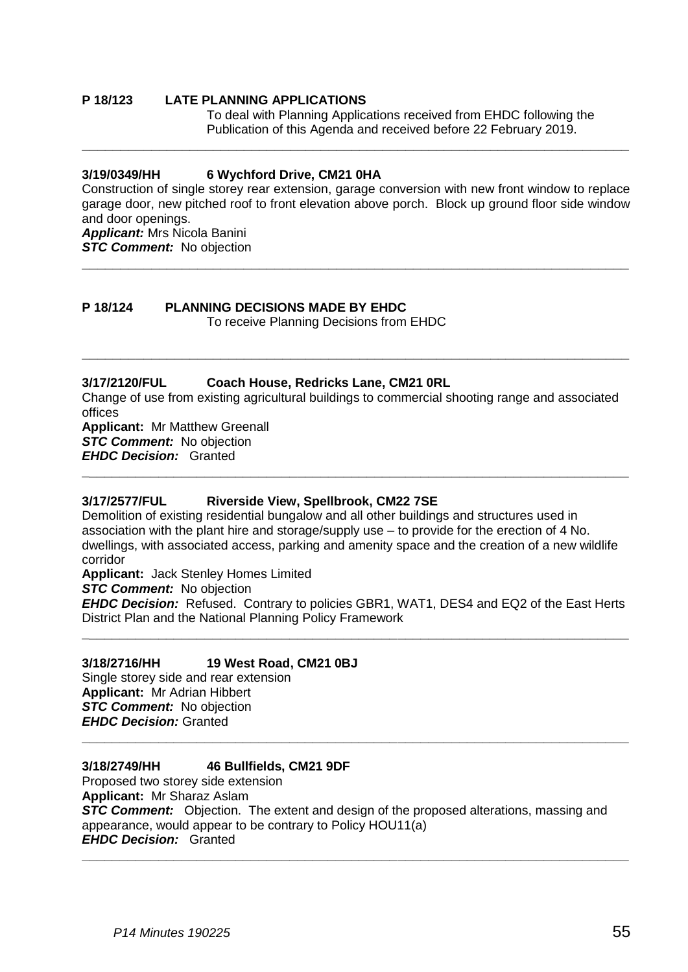# **P 18/123 LATE PLANNING APPLICATIONS**

To deal with Planning Applications received from EHDC following the Publication of this Agenda and received before 22 February 2019.

#### **3/19/0349/HH 6 Wychford Drive, CM21 0HA**

Construction of single storey rear extension, garage conversion with new front window to replace garage door, new pitched roof to front elevation above porch. Block up ground floor side window and door openings.

**\_\_\_\_\_\_\_\_\_\_\_\_\_\_\_\_\_\_\_\_\_\_\_\_\_\_\_\_\_\_\_\_\_\_\_\_\_\_\_\_\_\_\_\_\_\_\_\_\_\_\_\_\_\_\_\_\_\_\_\_\_\_\_\_\_\_\_\_\_\_\_**

**\_\_\_\_\_\_\_\_\_\_\_\_\_\_\_\_\_\_\_\_\_\_\_\_\_\_\_\_\_\_\_\_\_\_\_\_\_\_\_\_\_\_\_\_\_\_\_\_\_\_\_\_\_\_\_\_\_\_\_\_\_\_\_\_\_\_\_\_\_\_\_**

*Applicant:* Mrs Nicola Banini

*STC Comment:* No objection

# **P 18/124 PLANNING DECISIONS MADE BY EHDC**

To receive Planning Decisions from EHDC

### **3/17/2120/FUL Coach House, Redricks Lane, CM21 0RL**

Change of use from existing agricultural buildings to commercial shooting range and associated offices

**\_\_\_\_\_\_\_\_\_\_\_\_\_\_\_\_\_\_\_\_\_\_\_\_\_\_\_\_\_\_\_\_\_\_\_\_\_\_\_\_\_\_\_\_\_\_\_\_\_\_\_\_\_\_\_\_\_\_\_\_\_\_\_\_\_\_\_\_\_\_\_**

**\_\_\_\_\_\_\_\_\_\_\_\_\_\_\_\_\_\_\_\_\_\_\_\_\_\_\_\_\_\_\_\_\_\_\_\_\_\_\_\_\_\_\_\_\_\_\_\_\_\_\_\_\_\_\_\_\_\_\_\_\_\_\_\_\_\_\_\_\_\_\_**

**Applicant:** Mr Matthew Greenall **STC Comment:** No objection *EHDC Decision:* Granted

#### **3/17/2577/FUL Riverside View, Spellbrook, CM22 7SE**

Demolition of existing residential bungalow and all other buildings and structures used in association with the plant hire and storage/supply use – to provide for the erection of 4 No. dwellings, with associated access, parking and amenity space and the creation of a new wildlife corridor

**Applicant:** Jack Stenley Homes Limited

*STC Comment:* No objection

*EHDC Decision:* Refused. Contrary to policies GBR1, WAT1, DES4 and EQ2 of the East Herts District Plan and the National Planning Policy Framework **\_\_\_\_\_\_\_\_\_\_\_\_\_\_\_\_\_\_\_\_\_\_\_\_\_\_\_\_\_\_\_\_\_\_\_\_\_\_\_\_\_\_\_\_\_\_\_\_\_\_\_\_\_\_\_\_\_\_\_\_\_\_\_\_\_\_\_\_\_\_\_**

#### **3/18/2716/HH 19 West Road, CM21 0BJ**

Single storey side and rear extension **Applicant:** Mr Adrian Hibbert *STC Comment:* No objection *EHDC Decision:* Granted

### **3/18/2749/HH 46 Bullfields, CM21 9DF**

Proposed two storey side extension **Applicant:** Mr Sharaz Aslam **STC Comment:** Objection. The extent and design of the proposed alterations, massing and appearance, would appear to be contrary to Policy HOU11(a) *EHDC Decision:* Granted

**\_\_\_\_\_\_\_\_\_\_\_\_\_\_\_\_\_\_\_\_\_\_\_\_\_\_\_\_\_\_\_\_\_\_\_\_\_\_\_\_\_\_\_\_\_\_\_\_\_\_\_\_\_\_\_\_\_\_\_\_\_\_\_\_\_\_\_\_\_\_\_**

**\_\_\_\_\_\_\_\_\_\_\_\_\_\_\_\_\_\_\_\_\_\_\_\_\_\_\_\_\_\_\_\_\_\_\_\_\_\_\_\_\_\_\_\_\_\_\_\_\_\_\_\_\_\_\_\_\_\_\_\_\_\_\_\_\_\_\_\_\_\_\_**